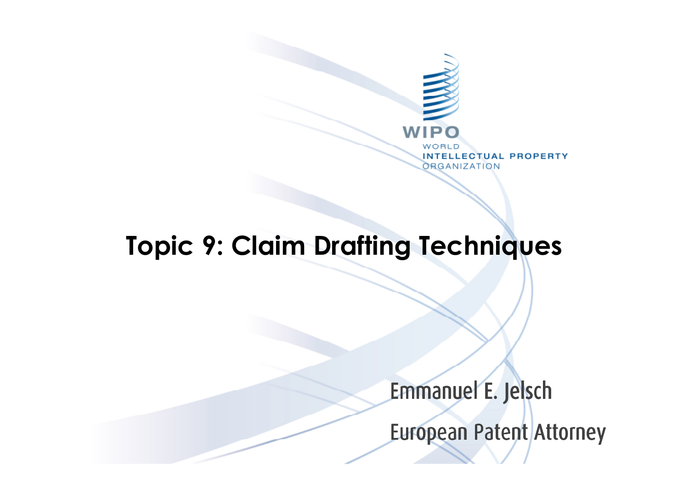

# **Topic 9: Claim Drafting Techniques**

Emmanuel E. Jelsch

European Patent Attorney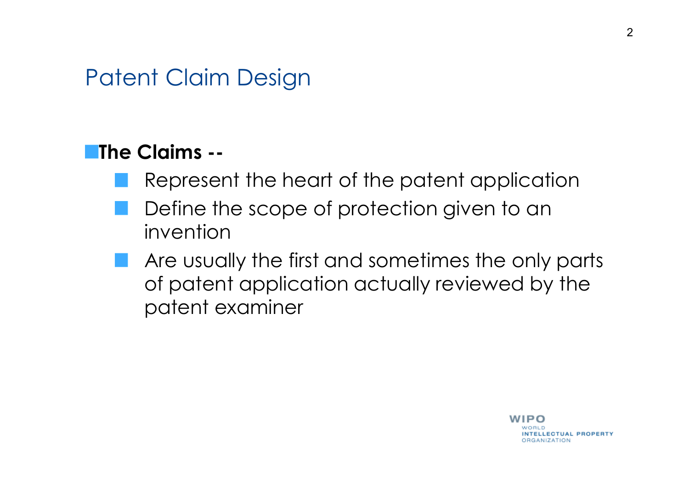#### **The Claims --**

- Represent the heart of the patent application
- Define the scope of protection given to an invention
- Are usually the first and sometimes the only parts of patent application actually reviewed by the patent examiner

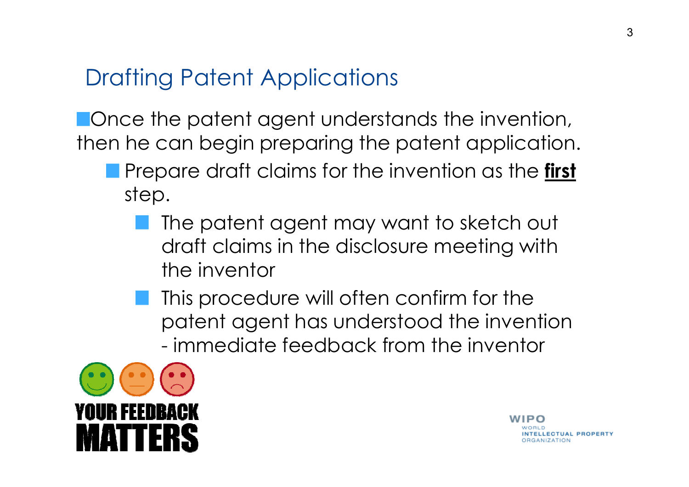# Drafting Patent Applications

**Nonce the patent agent understands the invention,** then he can begin preparing the patent application.

- Prepare draft claims for the invention as the **first** step.
	- The patent agent may want to sketch out draft claims in the disclosure meeting with the inventor
	- **This procedure will often confirm for the** patent agent has understood the invention - immediate feedback from the inventor



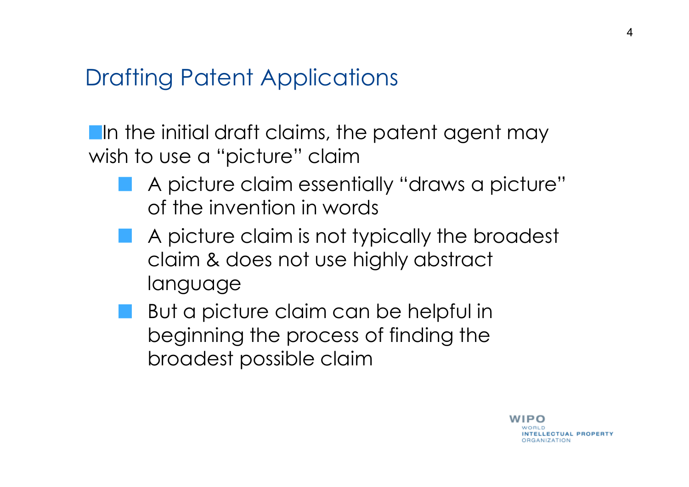### Drafting Patent Applications

**I**In the initial draft claims, the patent agent may wish to use a "picture" claim

- A picture claim essentially "draws a picture" of the invention in words
- A picture claim is not typically the broadest claim & does not use highly abstract language
- But a picture claim can be helpful in beginning the process of finding the broadest possible claim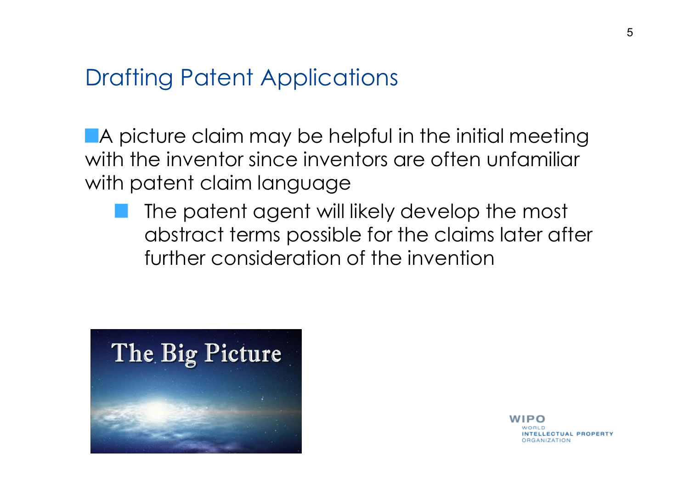### Drafting Patent Applications

A picture claim may be helpful in the initial meeting with the inventor since inventors are often unfamiliar with patent claim language

The patent agent will likely develop the most abstract terms possible for the claims later after further consideration of the invention



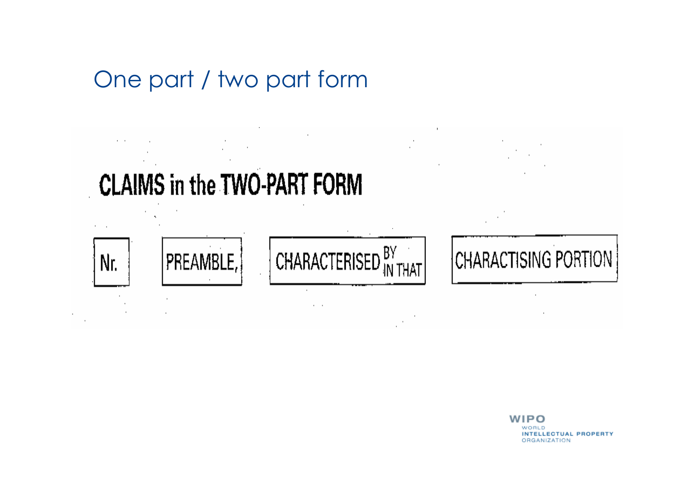# One part / two part form

**CLAIMS in the TWO-PART FORM** 

 $\cdots$ 



 $\alpha = 1$ 

# **CHARACTISING PORTION**

WIPO WORLD **INTELLECTUAL PROPERTY** ORGANIZATION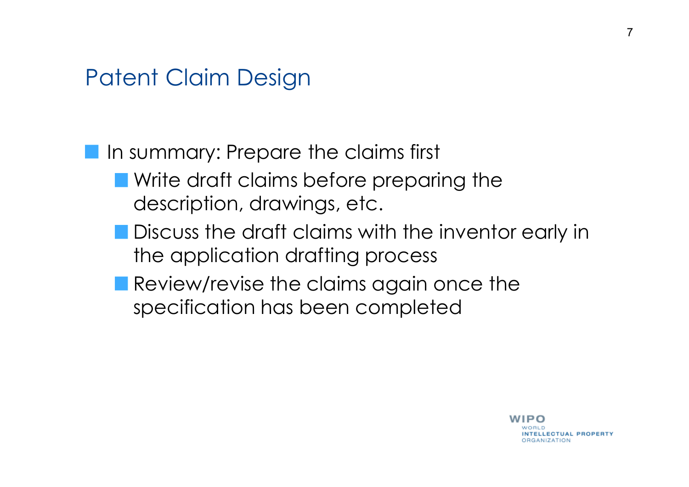**In summary: Prepare the claims first Notainal Write draft claims before preparing the** description, drawings, etc.

- **Discuss the draft claims with the inventor early in** the application drafting process
- Review/revise the claims again once the specification has been completed

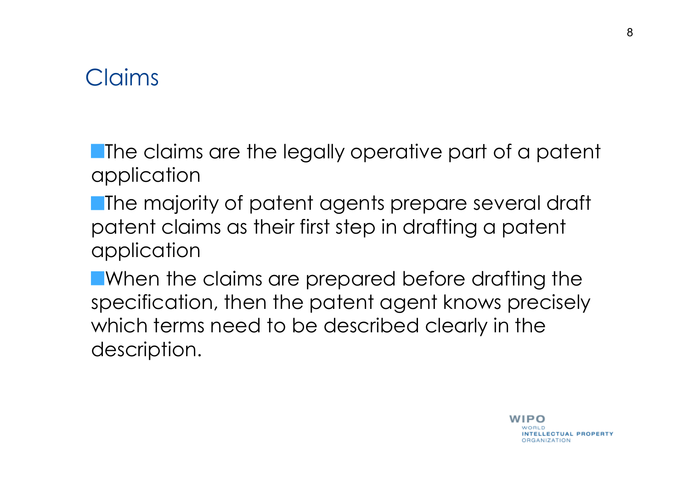### Claims

**The claims are the legally operative part of a patent** application

**The majority of patent agents prepare several draft** patent claims as their first step in drafting a patent application

**Notainally EV and TV ST ST EXAMORM IN EXAM I** When the claims are prepared before drafting the specification, then the patent agent knows precisely which terms need to be described clearly in the description.

8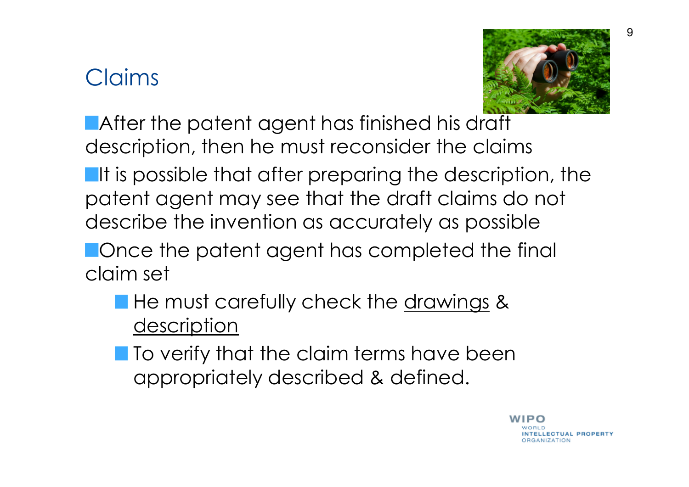# Claims



**After the patent agent has finished his draft** description, then he must reconsider the claims

**If is possible that after preparing the description, the** patent agent may see that the draft claims do not describe the invention as accurately as possible

**Nonce the patent agent has completed the final** claim set

- **He must carefully check the drawings &** description
- **To verify that the claim terms have been** appropriately described & defined.

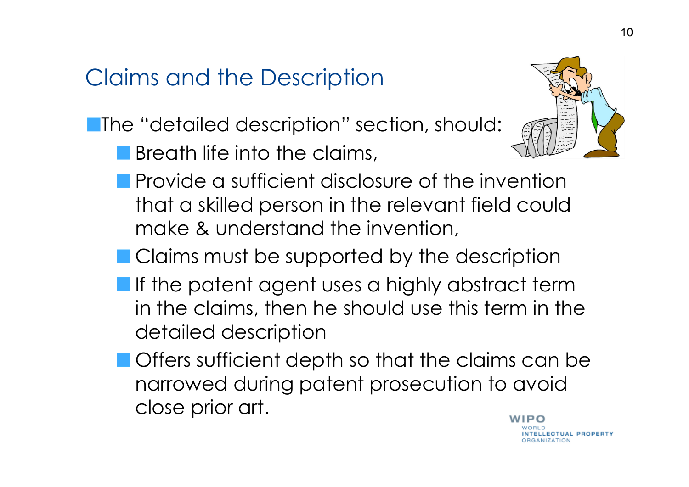# Claims and the Description

**The "detailed description" section, should:** 

**Breath life into the claims,** 



- **Provide a sufficient disclosure of the invention** that a skilled person in the relevant field could make & understand the invention,
- Claims must be supported by the description
- **If the patent agent uses a highly abstract term** in the claims, then he should use this term in the detailed description
- **Offers sufficient depth so that the claims can be** narrowed during patent prosecution to avoid close prior art.

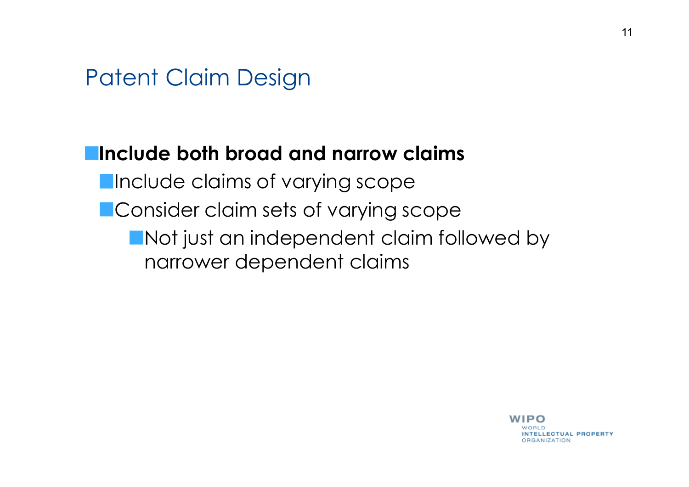#### **Include both broad and narrow claims**

- **Include claims of varying scope**
- **Consider claim sets of varying scope** 
	- **Not just an independent claim followed by** narrower dependent claims

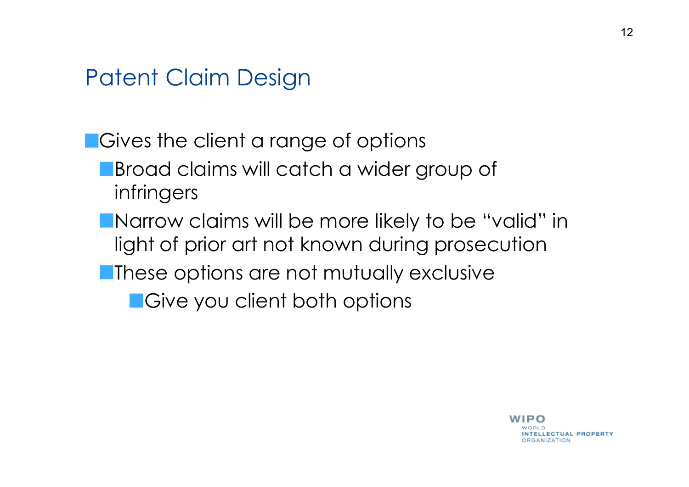**Cives the client a range of options Broad claims will catch a wider group of** infringers **Narrow claims will be more likely to be "valid" in** 

- light of prior art not known during prosecution
- **These options are not mutually exclusive**

**E**Give you client both options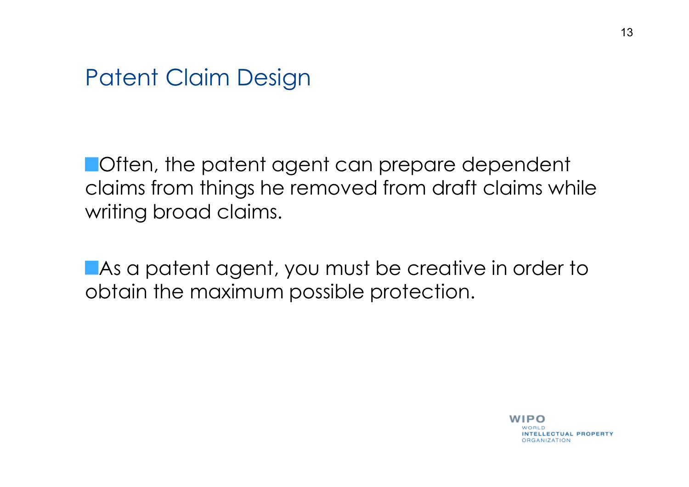**Often, the patent agent can prepare dependent** claims from things he removed from draft claims while writing broad claims.

**As a patent agent, you must be creative in order to** obtain the maximum possible protection.

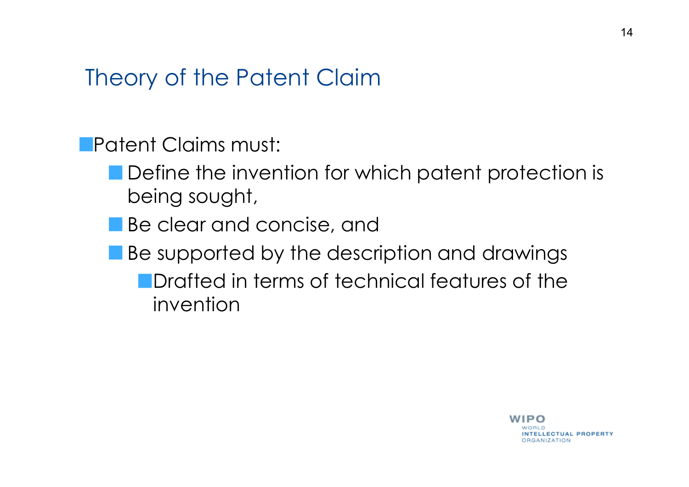### Theory of the Patent Claim

Patent Claims must:

- Define the invention for which patent protection is being sought,
- **Be clear and concise, and**
- Be supported by the description and drawings
	- **Drafted in terms of technical features of the** invention

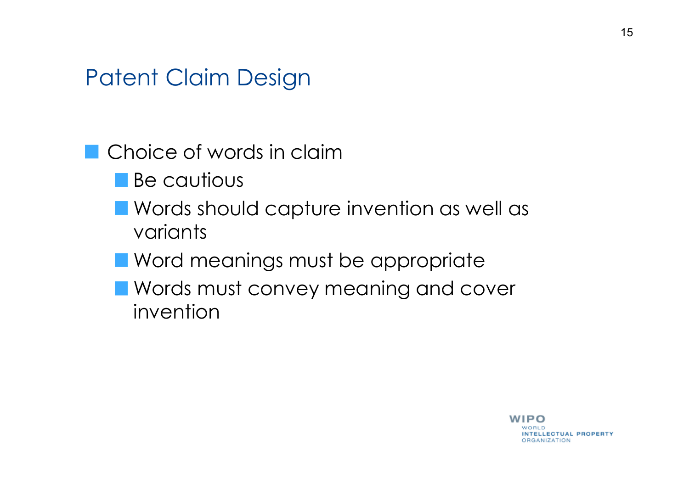### Choice of words in claim

- **Be cautious**
- **Words should capture invention as well as** variants
- **Nord meanings must be appropriate**
- **Nords must convey meaning and cover** invention

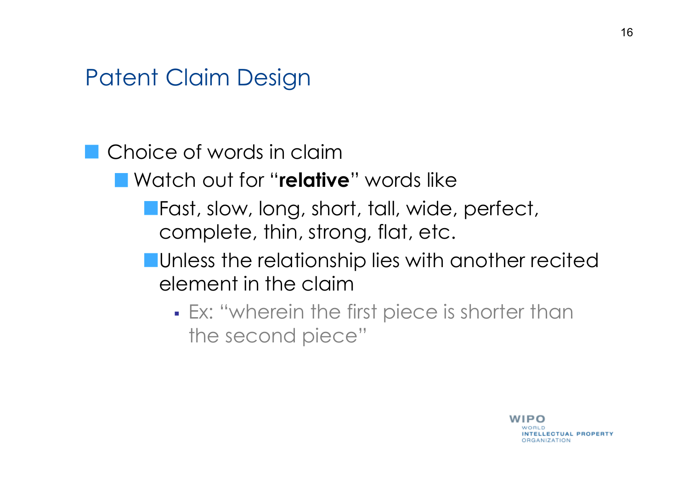### **Choice of words in claim**

- Watch out for "**relative**" words like
	- **Fast, slow, long, short, tall, wide, perfect,** complete, thin, strong, flat, etc.
	- **Unless the relationship lies with another recited** element in the claim
		- Ex: "wherein the first piece is shorter than the second piece"

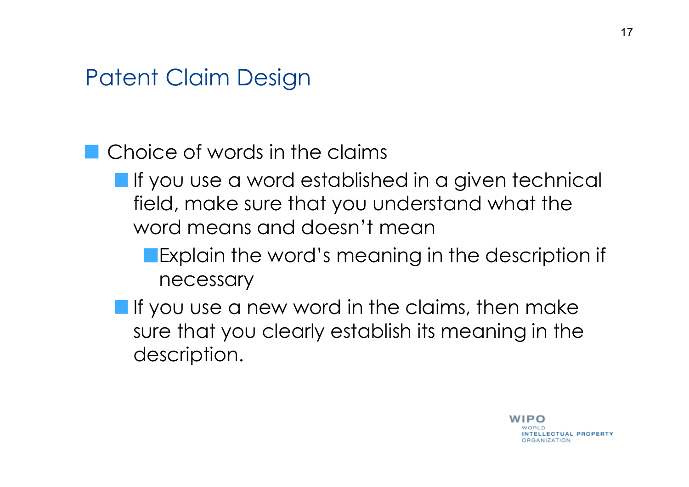### **Choice of words in the claims**

- $\blacksquare$  If you use a word established in a given technical field, make sure that you understand what the word means and doesn't mean
	- **Explain the word's meaning in the description if** necessary
- **If** you use a new word in the claims, then make sure that you clearly establish its meaning in the description.

17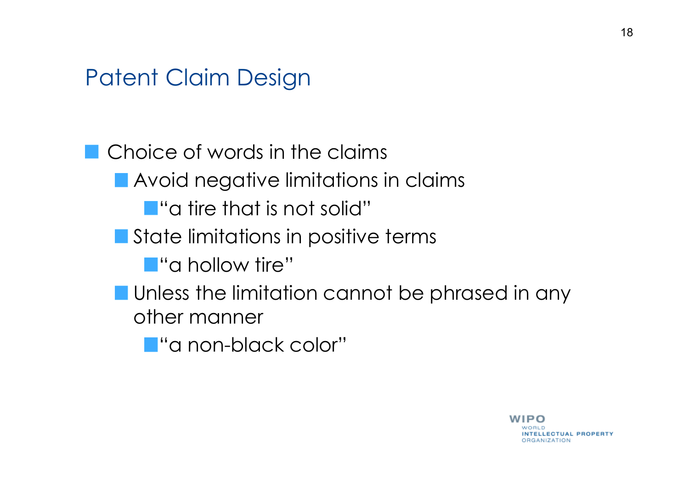Choice of words in the claims **Avoid negative limitations in claims T** "a tire that is not solid" State limitations in positive terms **T** "a hollow tire" **Unless the limitation cannot be phrased in any** other manner **T** "a non-black color"

> IP O **INTELLECTUAL PROPERTY ORGANIZATION**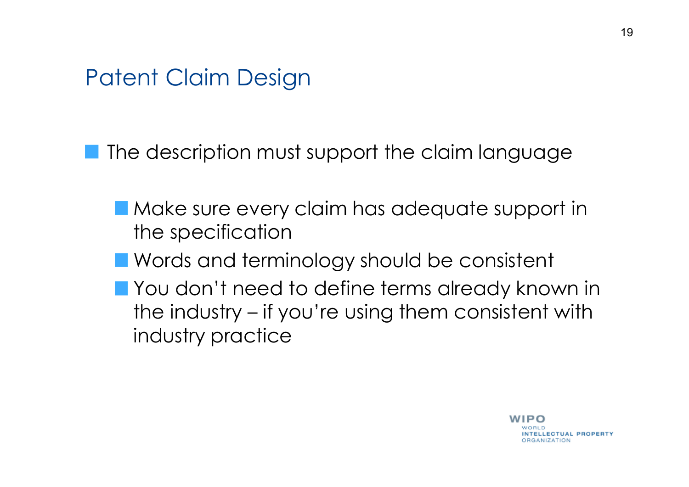The description must support the claim language

- Make sure every claim has adequate support in the specification
- **Nords and terminology should be consistent**
- **The You don't need to define terms already known in** the industry – if you're using them consistent with industry practice

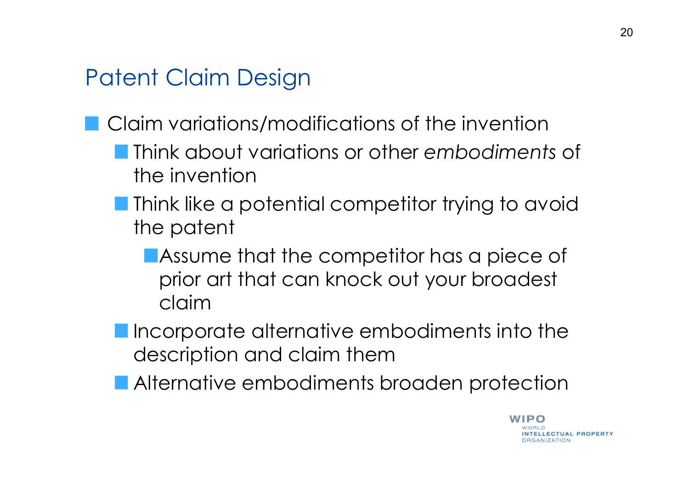- Claim variations/modifications of the invention
	- Think about variations or other *embodiments* of the invention
	- **Think like a potential competitor trying to avoid** the patent
		- Assume that the competitor has a piece of prior art that can knock out your broadest claim
	- **Incorporate alternative embodiments into the** description and claim them
	- **Alternative embodiments broaden protection**



**NTELLECTUAL PROPERTY** 

**RGANIZATION** 

WIPO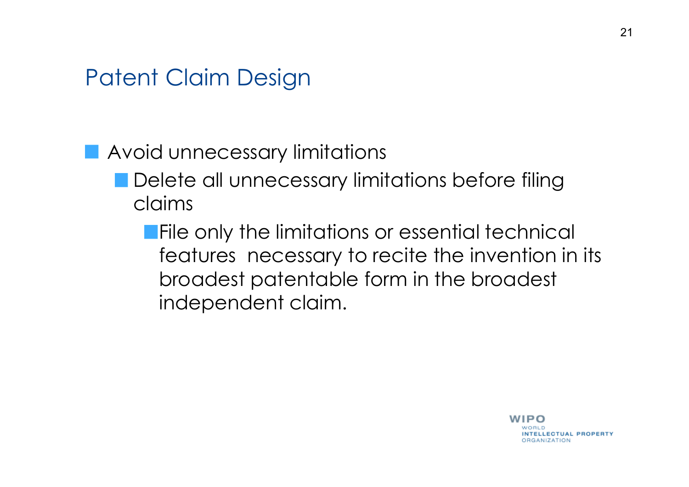### **Avoid unnecessary limitations**

**Delete all unnecessary limitations before filing** claims

**File only the limitations or essential technical** features necessary to recite the invention in its broadest patentable form in the broadest independent claim.

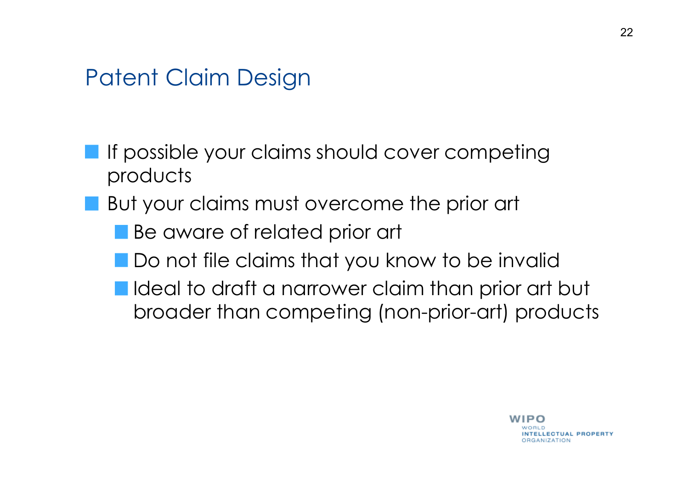- **If possible your claims should cover competing** products
- **But your claims must overcome the prior art** 
	- Be aware of related prior art
	- **Do not file claims that you know to be invalid**
	- I Ideal to draft a narrower claim than prior art but broader than competing (non-prior-art) products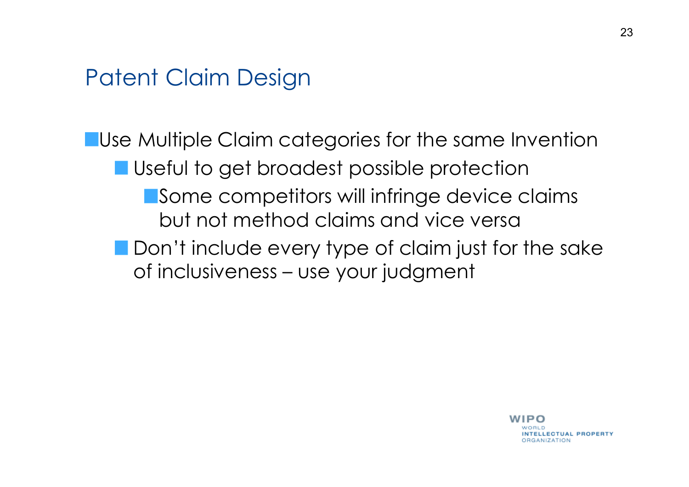**Use Multiple Claim categories for the same Invention** Useful to get broadest possible protection Some competitors will infringe device claims but not method claims and vice versa **Don't include every type of claim just for the sake** of inclusiveness – use your judgment

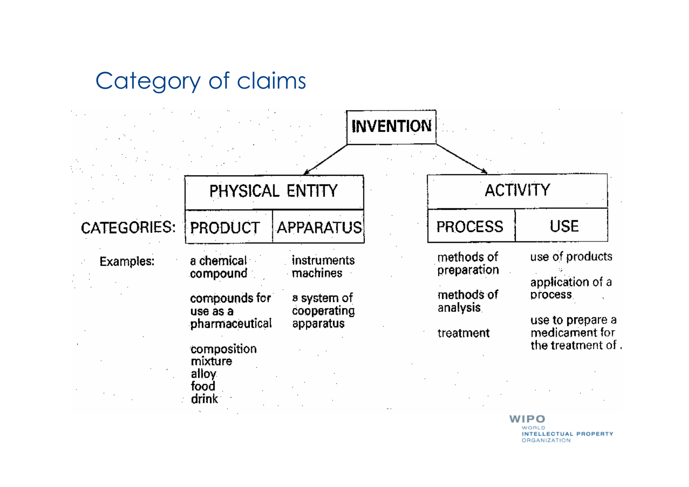# Category of claims



**INTELLECTUAL PROPERTY** © Katzarov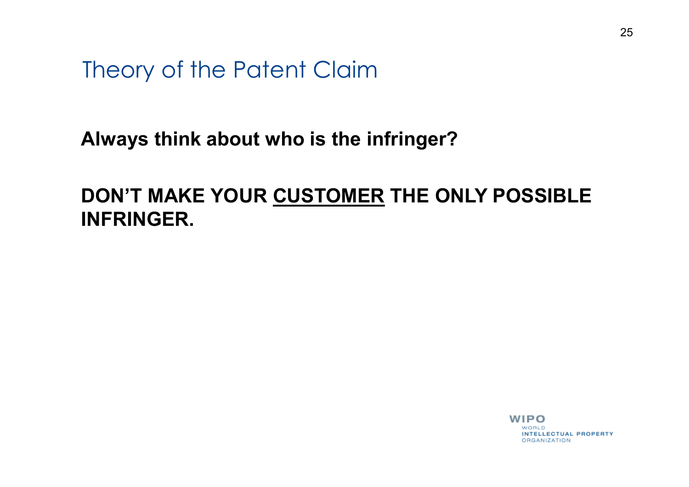Theory of the Patent Claim

#### **Always think about who is the infringer?**

### **DON'T MAKE YOUR CUSTOMER THE ONLY POSSIBLE INFRINGER.**

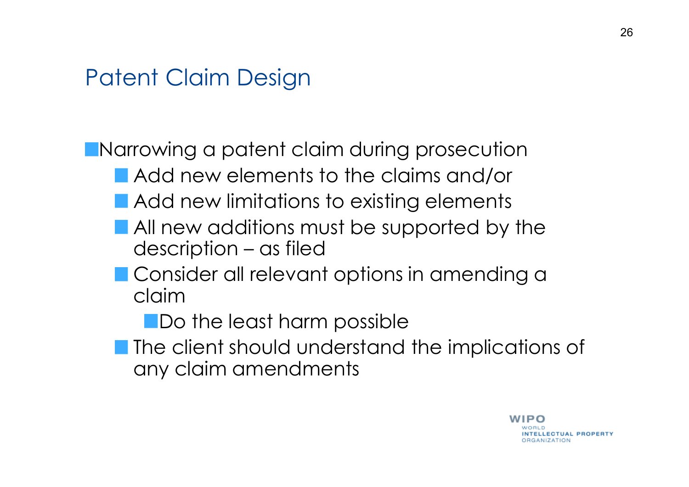Narrowing a patent claim during prosecution

- **Add new elements to the claims and/or**
- **Add new limitations to existing elements**
- **All new additions must be supported by the** description – as filed
- **Consider all relevant options in amending a** claim

**No the least harm possible** 

**The client should understand the implications of** any claim amendments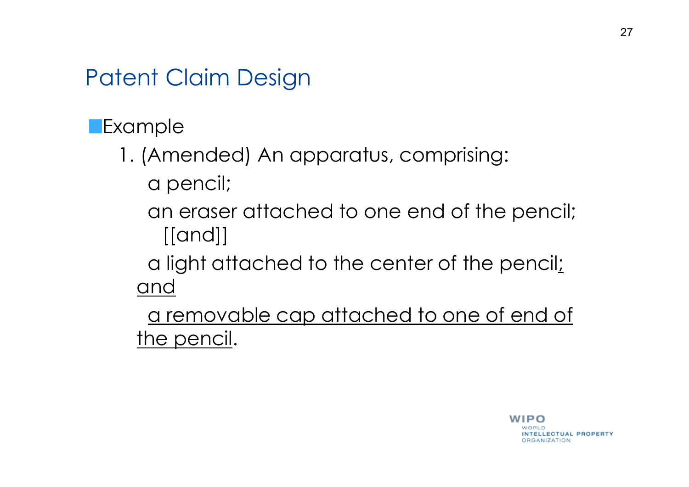**Example** 

- 1. (Amended) An apparatus, comprising: a pencil;
	- an eraser attached to one end of the pencil; [[and]]
	- a light attached to the center of the pencil; and

a removable cap attached to one of end of the pencil.

> WIPO **INTELLECTUAL PROPERTY ORGANIZATION**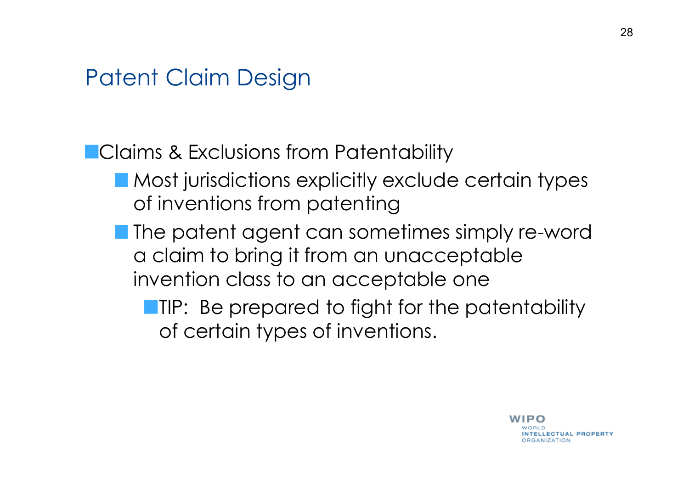**Claims & Exclusions from Patentability** 

- Most jurisdictions explicitly exclude certain types of inventions from patenting
- **The patent agent can sometimes simply re-word** a claim to bring it from an unacceptable invention class to an acceptable one

**TIP:** Be prepared to fight for the patentability of certain types of inventions.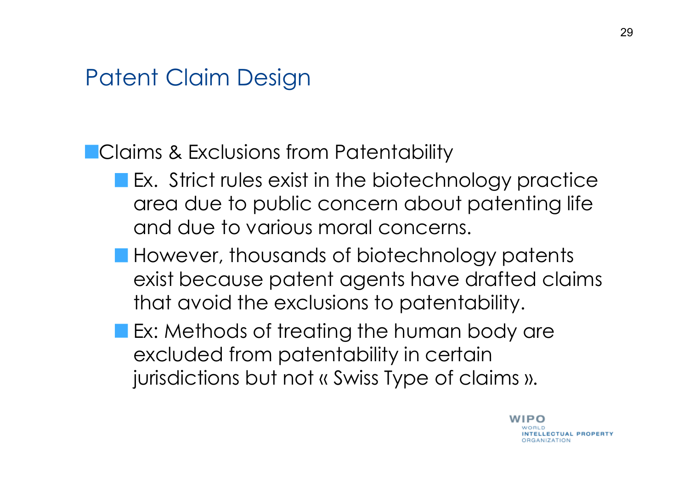### **Claims & Exclusions from Patentability**

- **Ex.** Strict rules exist in the biotechnology practice area due to public concern about patenting life and due to various moral concerns.
- **However, thousands of biotechnology patents** exist because patent agents have drafted claims that avoid the exclusions to patentability.
- **Ex: Methods of treating the human body are** excluded from patentability in certain jurisdictions but not « Swiss Type of claims ».

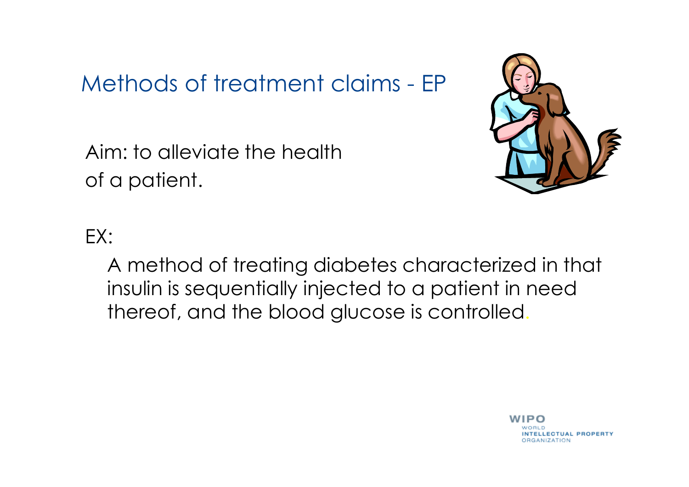### Methods of treatment claims - EP

Aim: to alleviate the health of a patient.



### EX:

A method of treating diabetes characterized in that insulin is sequentially injected to a patient in need thereof, and the blood glucose is controlled.

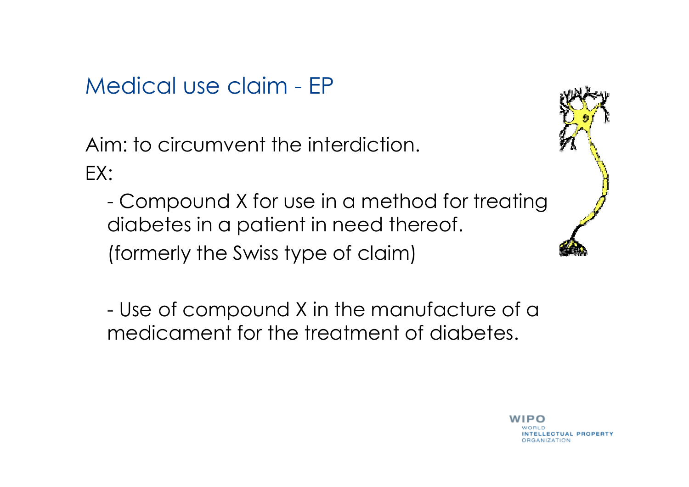Medical use claim - EP

Aim: to circumvent the interdiction. EX:

- Compound X for use in a method for treating diabetes in a patient in need thereof. (formerly the Swiss type of claim)

- Use of compound X in the manufacture of a medicament for the treatment of diabetes.



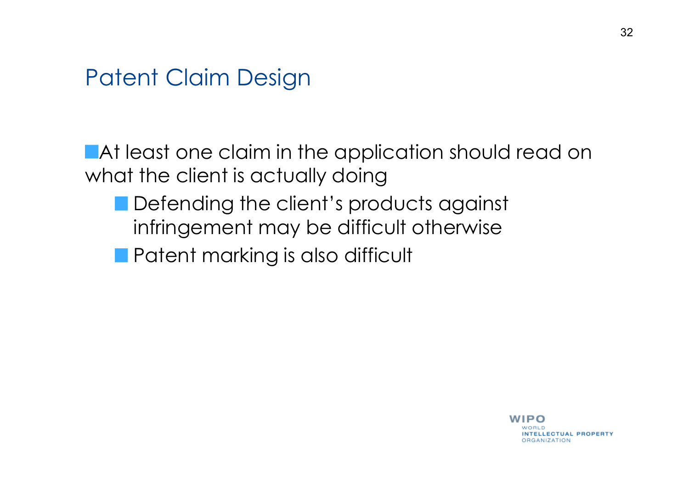**At least one claim in the application should read on** what the client is actually doing

- Defending the client's products against infringement may be difficult otherwise
- **Patent marking is also difficult**